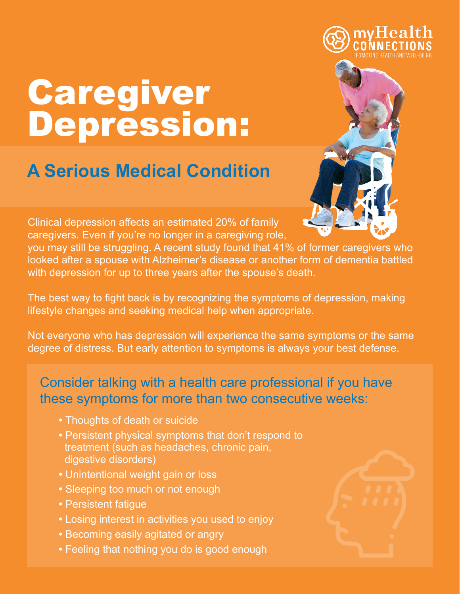

# Caregiver Depression:

## **A Serious Medical Condition**

Clinical depression affects an estimated 20% of family caregivers. Even if you're no longer in a caregiving role,

you may still be struggling. A recent study found that 41% of former caregivers who looked after a spouse with Alzheimer's disease or another form of dementia battled with depression for up to three years after the spouse's death.

The best way to fight back is by recognizing the symptoms of depression, making lifestyle changes and seeking medical help when appropriate.

Not everyone who has depression will experience the same symptoms or the same degree of distress. But early attention to symptoms is always your best defense.

### Consider talking with a health care professional if you have these symptoms for more than two consecutive weeks:

- **•** Thoughts of death or suicide
- **•** Persistent physical symptoms that don't respond to treatment (such as headaches, chronic pain, digestive disorders)
- **•** Unintentional weight gain or loss
- **•** Sleeping too much or not enough
- **•** Persistent fatigue
- **•** Losing interest in activities you used to enjoy
- **•** Becoming easily agitated or angry
- **•** Feeling that nothing you do is good enough